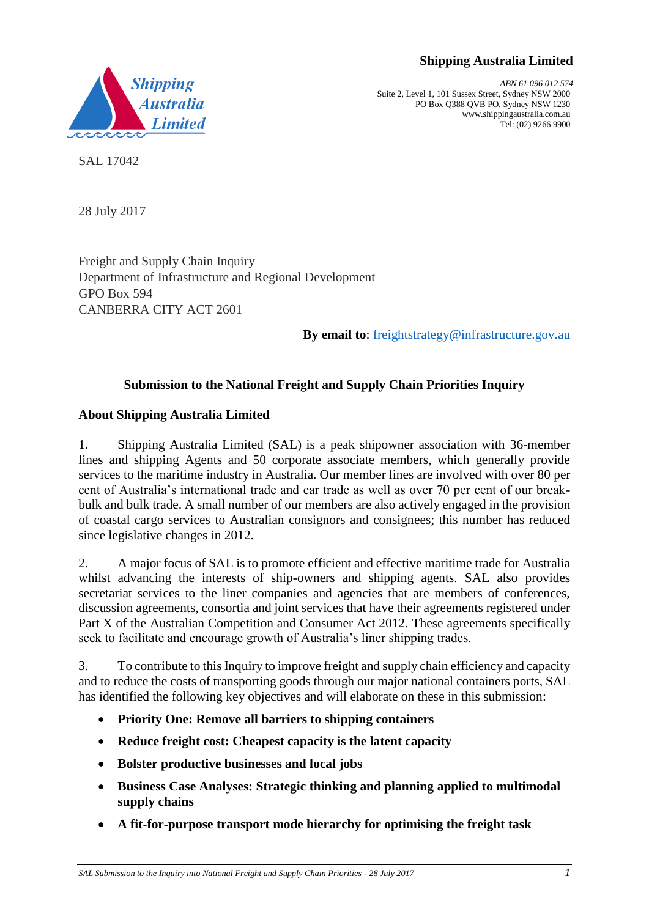# **Shipping Australia Limited**



*ABN 61 096 012 574* Suite 2, Level 1, 101 Sussex Street, Sydney NSW 2000 PO Box Q388 QVB PO, Sydney NSW 1230 www.shippingaustralia.com.au Tel: (02) 9266 9900

SAL 17042

28 July 2017

Freight and Supply Chain Inquiry Department of Infrastructure and Regional Development GPO Box 594 CANBERRA CITY ACT 2601

**By email to**: [freightstrategy@infrastructure.gov.au](mailto:freightstrategy@infrastructure.gov.au)

# **Submission to the National Freight and Supply Chain Priorities Inquiry**

# **About Shipping Australia Limited**

1. Shipping Australia Limited (SAL) is a peak shipowner association with 36-member lines and shipping Agents and 50 corporate associate members, which generally provide services to the maritime industry in Australia. Our member lines are involved with over 80 per cent of Australia's international trade and car trade as well as over 70 per cent of our breakbulk and bulk trade. A small number of our members are also actively engaged in the provision of coastal cargo services to Australian consignors and consignees; this number has reduced since legislative changes in 2012.

2. A major focus of SAL is to promote efficient and effective maritime trade for Australia whilst advancing the interests of ship-owners and shipping agents. SAL also provides secretariat services to the liner companies and agencies that are members of conferences, discussion agreements, consortia and joint services that have their agreements registered under Part X of the Australian Competition and Consumer Act 2012. These agreements specifically seek to facilitate and encourage growth of Australia's liner shipping trades.

3. To contribute to this Inquiry to improve freight and supply chain efficiency and capacity and to reduce the costs of transporting goods through our major national containers ports, SAL has identified the following key objectives and will elaborate on these in this submission:

- **Priority One: Remove all barriers to shipping containers**
- **Reduce freight cost: Cheapest capacity is the latent capacity**
- **Bolster productive businesses and local jobs**
- **Business Case Analyses: Strategic thinking and planning applied to multimodal supply chains**
- **A fit-for-purpose transport mode hierarchy for optimising the freight task**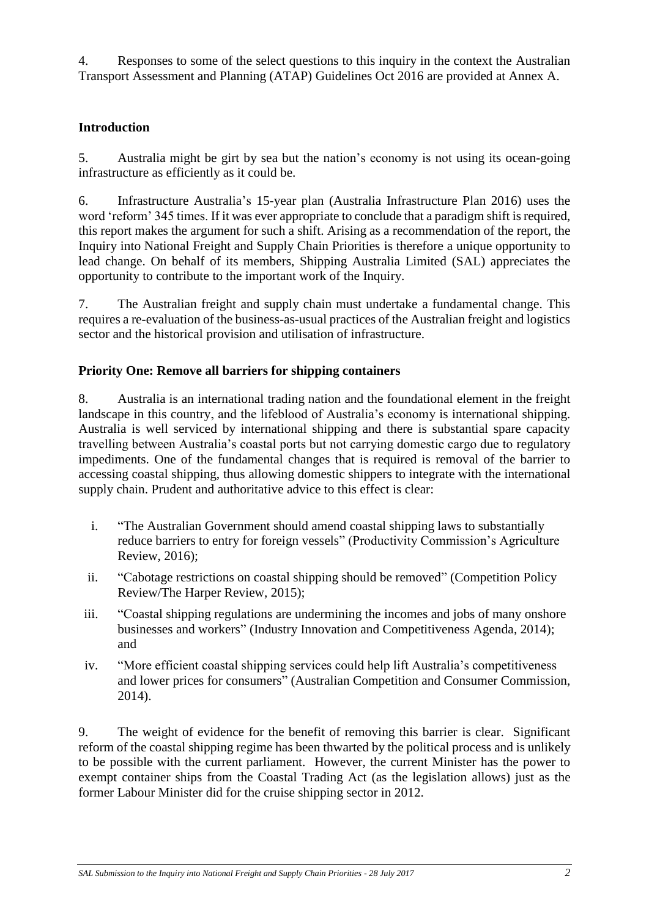4. Responses to some of the select questions to this inquiry in the context the Australian Transport Assessment and Planning (ATAP) Guidelines Oct 2016 are provided at Annex A.

## **Introduction**

5. Australia might be girt by sea but the nation's economy is not using its ocean-going infrastructure as efficiently as it could be.

6. Infrastructure Australia's 15-year plan (Australia Infrastructure Plan 2016) uses the word 'reform' 345 times. If it was ever appropriate to conclude that a paradigm shift is required, this report makes the argument for such a shift. Arising as a recommendation of the report, the Inquiry into National Freight and Supply Chain Priorities is therefore a unique opportunity to lead change. On behalf of its members, Shipping Australia Limited (SAL) appreciates the opportunity to contribute to the important work of the Inquiry.

7. The Australian freight and supply chain must undertake a fundamental change. This requires a re-evaluation of the business-as-usual practices of the Australian freight and logistics sector and the historical provision and utilisation of infrastructure.

## **Priority One: Remove all barriers for shipping containers**

8. Australia is an international trading nation and the foundational element in the freight landscape in this country, and the lifeblood of Australia's economy is international shipping. Australia is well serviced by international shipping and there is substantial spare capacity travelling between Australia's coastal ports but not carrying domestic cargo due to regulatory impediments. One of the fundamental changes that is required is removal of the barrier to accessing coastal shipping, thus allowing domestic shippers to integrate with the international supply chain. Prudent and authoritative advice to this effect is clear:

- i. "The Australian Government should amend coastal shipping laws to substantially reduce barriers to entry for foreign vessels" (Productivity Commission's Agriculture Review, 2016);
- ii. "Cabotage restrictions on coastal shipping should be removed" (Competition Policy Review/The Harper Review, 2015);
- iii. "Coastal shipping regulations are undermining the incomes and jobs of many onshore businesses and workers" (Industry Innovation and Competitiveness Agenda, 2014); and
- iv. "More efficient coastal shipping services could help lift Australia's competitiveness and lower prices for consumers" (Australian Competition and Consumer Commission, 2014).

9. The weight of evidence for the benefit of removing this barrier is clear. Significant reform of the coastal shipping regime has been thwarted by the political process and is unlikely to be possible with the current parliament. However, the current Minister has the power to exempt container ships from the Coastal Trading Act (as the legislation allows) just as the former Labour Minister did for the cruise shipping sector in 2012.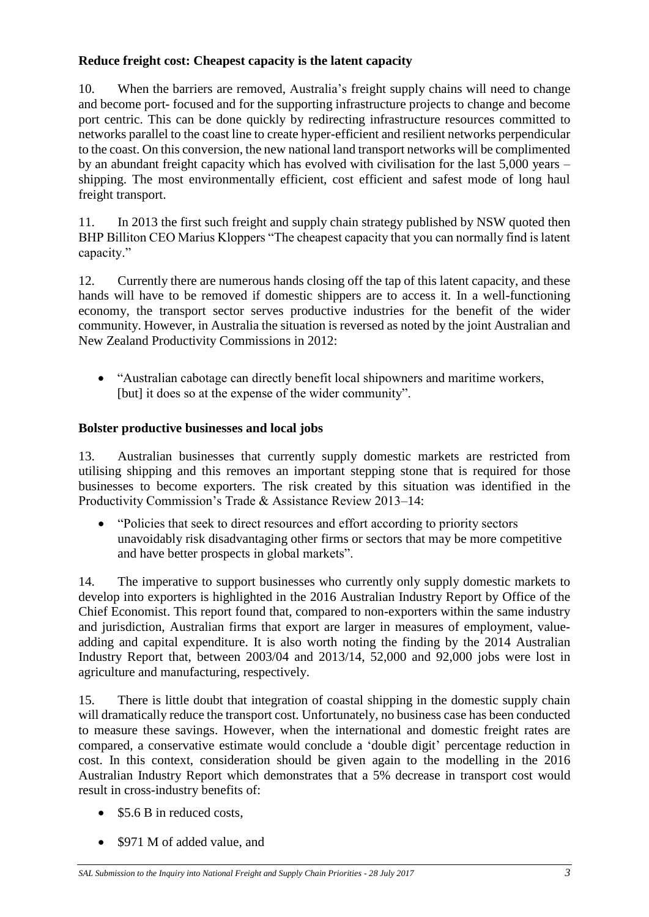# **Reduce freight cost: Cheapest capacity is the latent capacity**

10. When the barriers are removed, Australia's freight supply chains will need to change and become port- focused and for the supporting infrastructure projects to change and become port centric. This can be done quickly by redirecting infrastructure resources committed to networks parallel to the coast line to create hyper-efficient and resilient networks perpendicular to the coast. On this conversion, the new national land transport networks will be complimented by an abundant freight capacity which has evolved with civilisation for the last 5,000 years – shipping. The most environmentally efficient, cost efficient and safest mode of long haul freight transport.

11. In 2013 the first such freight and supply chain strategy published by NSW quoted then BHP Billiton CEO Marius Kloppers "The cheapest capacity that you can normally find is latent capacity."

12. Currently there are numerous hands closing off the tap of this latent capacity, and these hands will have to be removed if domestic shippers are to access it. In a well-functioning economy, the transport sector serves productive industries for the benefit of the wider community. However, in Australia the situation is reversed as noted by the joint Australian and New Zealand Productivity Commissions in 2012:

• "Australian cabotage can directly benefit local shipowners and maritime workers, [but] it does so at the expense of the wider community".

# **Bolster productive businesses and local jobs**

13. Australian businesses that currently supply domestic markets are restricted from utilising shipping and this removes an important stepping stone that is required for those businesses to become exporters. The risk created by this situation was identified in the Productivity Commission's Trade & Assistance Review 2013–14:

• "Policies that seek to direct resources and effort according to priority sectors unavoidably risk disadvantaging other firms or sectors that may be more competitive and have better prospects in global markets".

14. The imperative to support businesses who currently only supply domestic markets to develop into exporters is highlighted in the 2016 Australian Industry Report by Office of the Chief Economist. This report found that, compared to non-exporters within the same industry and jurisdiction, Australian firms that export are larger in measures of employment, valueadding and capital expenditure. It is also worth noting the finding by the 2014 Australian Industry Report that, between 2003/04 and 2013/14, 52,000 and 92,000 jobs were lost in agriculture and manufacturing, respectively.

15. There is little doubt that integration of coastal shipping in the domestic supply chain will dramatically reduce the transport cost. Unfortunately, no business case has been conducted to measure these savings. However, when the international and domestic freight rates are compared, a conservative estimate would conclude a 'double digit' percentage reduction in cost. In this context, consideration should be given again to the modelling in the 2016 Australian Industry Report which demonstrates that a 5% decrease in transport cost would result in cross-industry benefits of:

- \$5.6 B in reduced costs.
- \$971 M of added value, and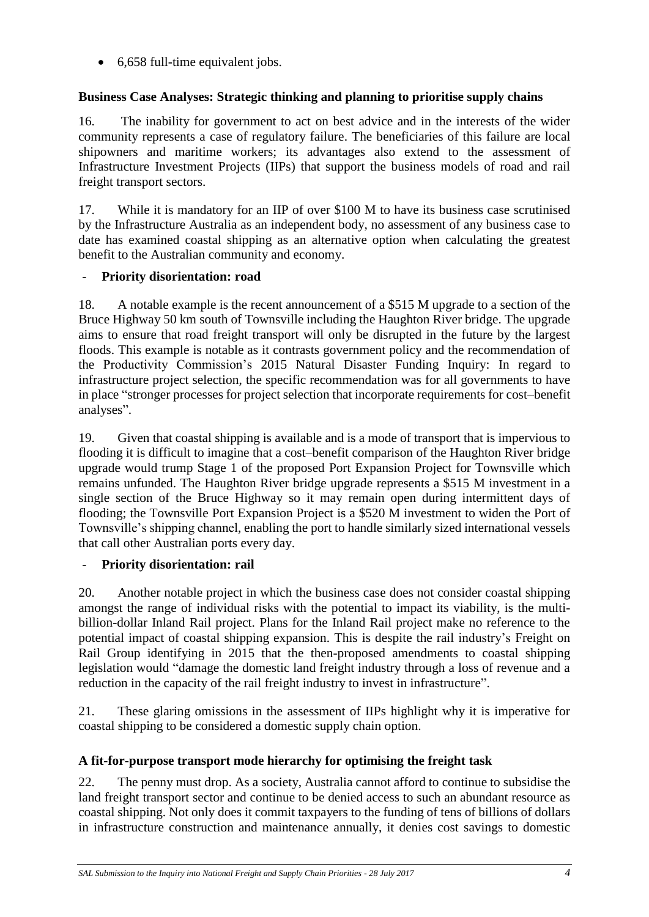• 6,658 full-time equivalent jobs.

# **Business Case Analyses: Strategic thinking and planning to prioritise supply chains**

16. The inability for government to act on best advice and in the interests of the wider community represents a case of regulatory failure. The beneficiaries of this failure are local shipowners and maritime workers; its advantages also extend to the assessment of Infrastructure Investment Projects (IIPs) that support the business models of road and rail freight transport sectors.

17. While it is mandatory for an IIP of over \$100 M to have its business case scrutinised by the Infrastructure Australia as an independent body, no assessment of any business case to date has examined coastal shipping as an alternative option when calculating the greatest benefit to the Australian community and economy.

# - **Priority disorientation: road**

18. A notable example is the recent announcement of a \$515 M upgrade to a section of the Bruce Highway 50 km south of Townsville including the Haughton River bridge. The upgrade aims to ensure that road freight transport will only be disrupted in the future by the largest floods. This example is notable as it contrasts government policy and the recommendation of the Productivity Commission's 2015 Natural Disaster Funding Inquiry: In regard to infrastructure project selection, the specific recommendation was for all governments to have in place "stronger processes for project selection that incorporate requirements for cost–benefit analyses".

19. Given that coastal shipping is available and is a mode of transport that is impervious to flooding it is difficult to imagine that a cost–benefit comparison of the Haughton River bridge upgrade would trump Stage 1 of the proposed Port Expansion Project for Townsville which remains unfunded. The Haughton River bridge upgrade represents a \$515 M investment in a single section of the Bruce Highway so it may remain open during intermittent days of flooding; the Townsville Port Expansion Project is a \$520 M investment to widen the Port of Townsville's shipping channel, enabling the port to handle similarly sized international vessels that call other Australian ports every day.

# - **Priority disorientation: rail**

20. Another notable project in which the business case does not consider coastal shipping amongst the range of individual risks with the potential to impact its viability, is the multibillion-dollar Inland Rail project. Plans for the Inland Rail project make no reference to the potential impact of coastal shipping expansion. This is despite the rail industry's Freight on Rail Group identifying in 2015 that the then-proposed amendments to coastal shipping legislation would "damage the domestic land freight industry through a loss of revenue and a reduction in the capacity of the rail freight industry to invest in infrastructure".

21. These glaring omissions in the assessment of IIPs highlight why it is imperative for coastal shipping to be considered a domestic supply chain option.

# **A fit-for-purpose transport mode hierarchy for optimising the freight task**

22. The penny must drop. As a society, Australia cannot afford to continue to subsidise the land freight transport sector and continue to be denied access to such an abundant resource as coastal shipping. Not only does it commit taxpayers to the funding of tens of billions of dollars in infrastructure construction and maintenance annually, it denies cost savings to domestic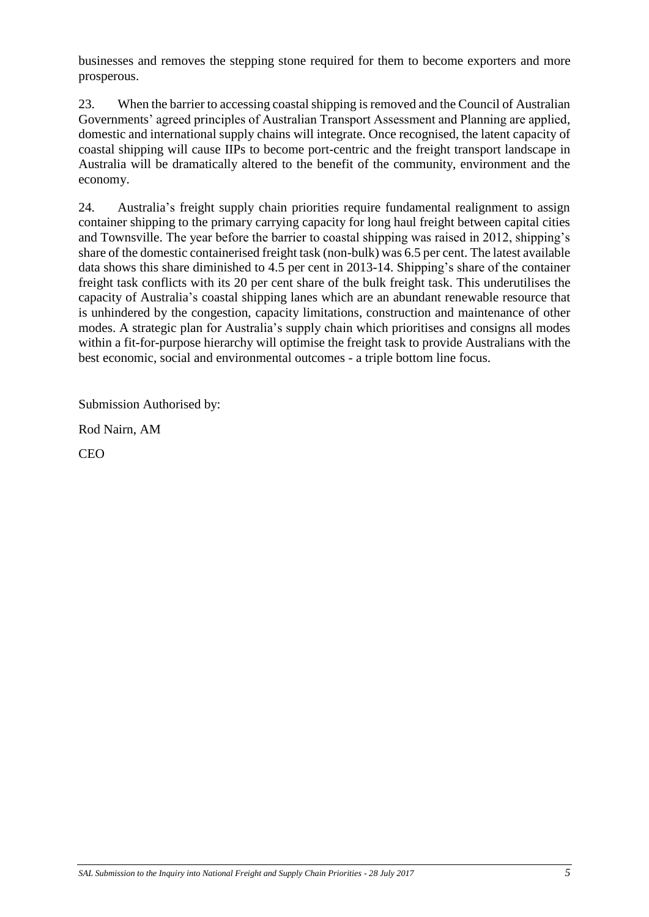businesses and removes the stepping stone required for them to become exporters and more prosperous.

23. When the barrier to accessing coastal shipping is removed and the Council of Australian Governments' agreed principles of Australian Transport Assessment and Planning are applied, domestic and international supply chains will integrate. Once recognised, the latent capacity of coastal shipping will cause IIPs to become port-centric and the freight transport landscape in Australia will be dramatically altered to the benefit of the community, environment and the economy.

24. Australia's freight supply chain priorities require fundamental realignment to assign container shipping to the primary carrying capacity for long haul freight between capital cities and Townsville. The year before the barrier to coastal shipping was raised in 2012, shipping's share of the domestic containerised freight task (non-bulk) was 6.5 per cent. The latest available data shows this share diminished to 4.5 per cent in 2013-14. Shipping's share of the container freight task conflicts with its 20 per cent share of the bulk freight task. This underutilises the capacity of Australia's coastal shipping lanes which are an abundant renewable resource that is unhindered by the congestion, capacity limitations, construction and maintenance of other modes. A strategic plan for Australia's supply chain which prioritises and consigns all modes within a fit-for-purpose hierarchy will optimise the freight task to provide Australians with the best economic, social and environmental outcomes - a triple bottom line focus.

Submission Authorised by:

Rod Nairn, AM

CEO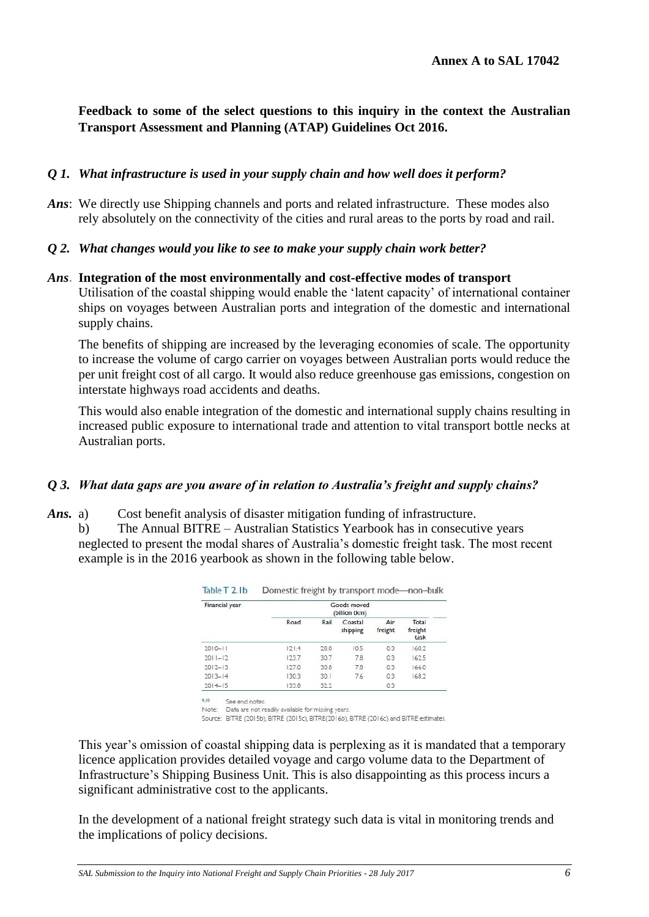**Feedback to some of the select questions to this inquiry in the context the Australian Transport Assessment and Planning (ATAP) Guidelines Oct 2016.**

### *Q 1. What infrastructure is used in your supply chain and how well does it perform?*

*Ans*: We directly use Shipping channels and ports and related infrastructure. These modes also rely absolutely on the connectivity of the cities and rural areas to the ports by road and rail.

### *Q 2. What changes would you like to see to make your supply chain work better?*

#### *Ans***. Integration of the most environmentally and cost-effective modes of transport**

Utilisation of the coastal shipping would enable the 'latent capacity' of international container ships on voyages between Australian ports and integration of the domestic and international supply chains.

The benefits of shipping are increased by the leveraging economies of scale. The opportunity to increase the volume of cargo carrier on voyages between Australian ports would reduce the per unit freight cost of all cargo. It would also reduce greenhouse gas emissions, congestion on interstate highways road accidents and deaths.

This would also enable integration of the domestic and international supply chains resulting in increased public exposure to international trade and attention to vital transport bottle necks at Australian ports.

#### *Q 3. What data gaps are you aware of in relation to Australia's freight and supply chains?*

- *Ans.* a) Cost benefit analysis of disaster mitigation funding of infrastructure.
	- b) The Annual BITRE Australian Statistics Yearbook has in consecutive years neglected to present the modal shares of Australia's domestic freight task. The most recent example is in the 2016 yearbook as shown in the following table below.

| Financial year | Goods moved<br>(billion tkm) |      |                     |                |                          |
|----------------|------------------------------|------|---------------------|----------------|--------------------------|
|                | Road                         | Rail | Coastal<br>shipping | Air<br>freight | Total<br>freight<br>task |
| $2010 - 11$    | 121.4                        | 28.0 | 10.5                | 0.3            | 160.2                    |
| $2011 - 12$    | 123.7                        | 30.7 | 7.8                 | 0.3            | 1625                     |
| $2012 - 13$    | 127.0                        | 30.8 | 7.8                 | 0.3            | 166.0                    |
| $2013 - 14$    | 130.3                        | 30.1 | 7.6                 | 0.3            | 168.2                    |
| $2014 - 15$    | 133.8                        | 32.2 |                     | 0.3            |                          |

Note: Data are not readily available for missing years.

Source: BITRE (2015b), BITRE (2015c), BITRE(2016b), BITRE (2016c) and BITRE estimates.

This year's omission of coastal shipping data is perplexing as it is mandated that a temporary licence application provides detailed voyage and cargo volume data to the Department of Infrastructure's Shipping Business Unit. This is also disappointing as this process incurs a significant administrative cost to the applicants.

In the development of a national freight strategy such data is vital in monitoring trends and the implications of policy decisions.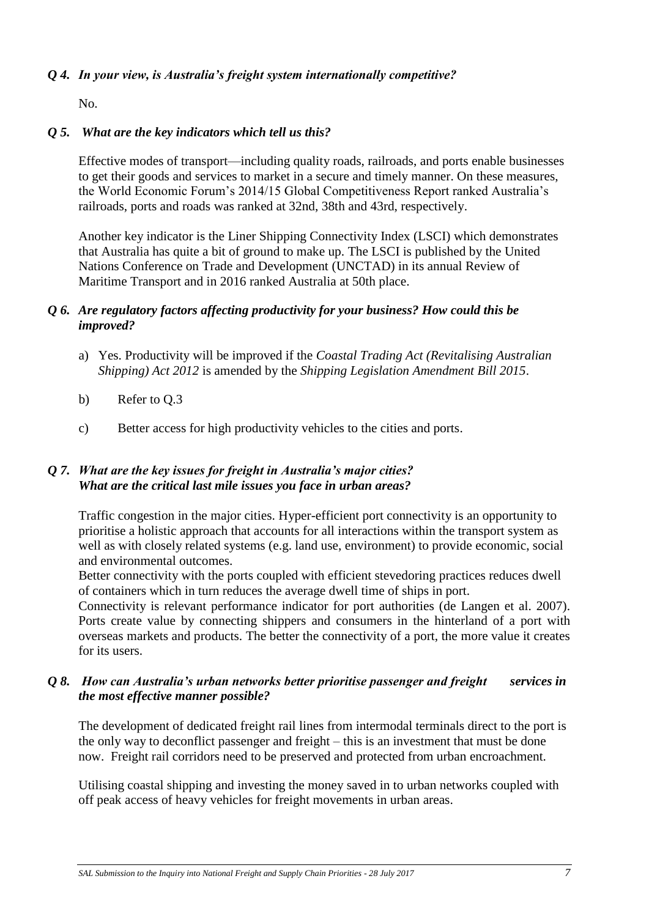### *Q 4. In your view, is Australia's freight system internationally competitive?*

No.

### *Q 5. What are the key indicators which tell us this?*

Effective modes of transport—including quality roads, railroads, and ports enable businesses to get their goods and services to market in a secure and timely manner. On these measures, the World Economic Forum's 2014/15 Global Competitiveness Report ranked Australia's railroads, ports and roads was ranked at 32nd, 38th and 43rd, respectively.

Another key indicator is the Liner Shipping Connectivity Index (LSCI) which demonstrates that Australia has quite a bit of ground to make up. The LSCI is published by the United Nations Conference on Trade and Development (UNCTAD) in its annual Review of Maritime Transport and in 2016 ranked Australia at 50th place.

### *Q 6. Are regulatory factors affecting productivity for your business? How could this be improved?*

- a) Yes. Productivity will be improved if the *Coastal Trading Act (Revitalising Australian Shipping) Act 2012* is amended by the *Shipping Legislation Amendment Bill 2015*.
- b) Refer to Q.3
- c) Better access for high productivity vehicles to the cities and ports.

### *Q 7. What are the key issues for freight in Australia's major cities? What are the critical last mile issues you face in urban areas?*

Traffic congestion in the major cities. Hyper-efficient port connectivity is an opportunity to prioritise a holistic approach that accounts for all interactions within the transport system as well as with closely related systems (e.g. land use, environment) to provide economic, social and environmental outcomes.

Better connectivity with the ports coupled with efficient stevedoring practices reduces dwell of containers which in turn reduces the average dwell time of ships in port.

Connectivity is relevant performance indicator for port authorities [\(de Langen et al. 2007\)](https://jshippingandtrade.springeropen.com/articles/10.1186/s41072-016-0008-0#CR5). Ports create value by connecting shippers and consumers in the hinterland of a port with overseas markets and products. The better the connectivity of a port, the more value it creates for its users.

### *Q 8. How can Australia's urban networks better prioritise passenger and freight services in the most effective manner possible?*

The development of dedicated freight rail lines from intermodal terminals direct to the port is the only way to deconflict passenger and freight – this is an investment that must be done now. Freight rail corridors need to be preserved and protected from urban encroachment.

Utilising coastal shipping and investing the money saved in to urban networks coupled with off peak access of heavy vehicles for freight movements in urban areas.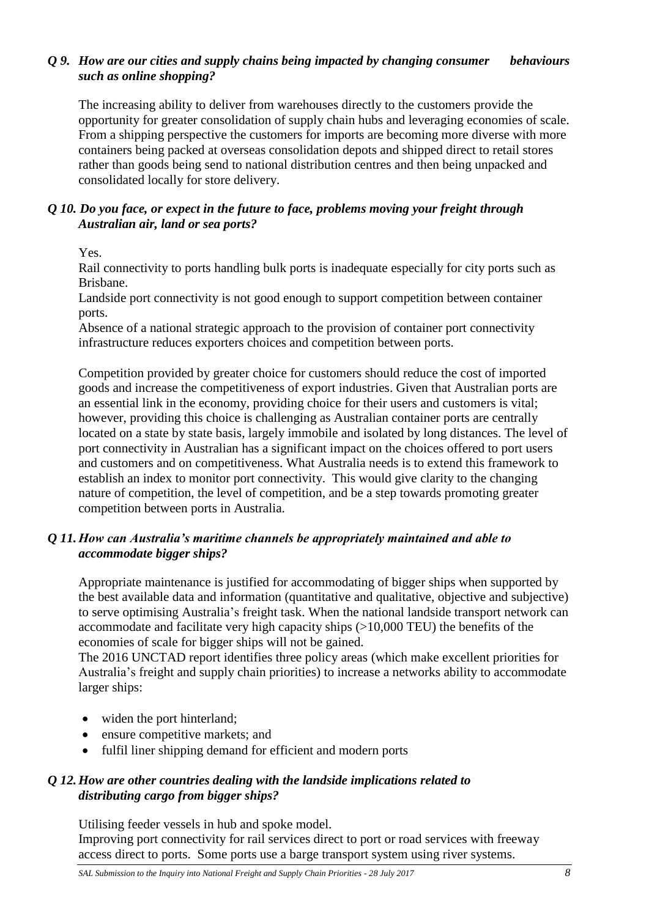### *Q 9. How are our cities and supply chains being impacted by changing consumer behaviours such as online shopping?*

The increasing ability to deliver from warehouses directly to the customers provide the opportunity for greater consolidation of supply chain hubs and leveraging economies of scale. From a shipping perspective the customers for imports are becoming more diverse with more containers being packed at overseas consolidation depots and shipped direct to retail stores rather than goods being send to national distribution centres and then being unpacked and consolidated locally for store delivery.

### *Q 10. Do you face, or expect in the future to face, problems moving your freight through Australian air, land or sea ports?*

Yes.

Rail connectivity to ports handling bulk ports is inadequate especially for city ports such as Brisbane.

Landside port connectivity is not good enough to support competition between container ports.

Absence of a national strategic approach to the provision of container port connectivity infrastructure reduces exporters choices and competition between ports.

Competition provided by greater choice for customers should reduce the cost of imported goods and increase the competitiveness of export industries. Given that Australian ports are an essential link in the economy, providing choice for their users and customers is vital; however, providing this choice is challenging as Australian container ports are centrally located on a state by state basis, largely immobile and isolated by long distances. The level of port connectivity in Australian has a significant impact on the choices offered to port users and customers and on competitiveness. What Australia needs is to extend this framework to establish an index to monitor port connectivity. This would give clarity to the changing nature of competition, the level of competition, and be a step towards promoting greater competition between ports in Australia.

## *Q 11.How can Australia's maritime channels be appropriately maintained and able to accommodate bigger ships?*

Appropriate maintenance is justified for accommodating of bigger ships when supported by the best available data and information (quantitative and qualitative, objective and subjective) to serve optimising Australia's freight task. When the national landside transport network can accommodate and facilitate very high capacity ships (>10,000 TEU) the benefits of the economies of scale for bigger ships will not be gained.

The 2016 UNCTAD report identifies three policy areas (which make excellent priorities for Australia's freight and supply chain priorities) to increase a networks ability to accommodate larger ships:

- widen the port hinterland;
- ensure competitive markets; and
- fulfil liner shipping demand for efficient and modern ports

## *Q 12.How are other countries dealing with the landside implications related to distributing cargo from bigger ships?*

Utilising feeder vessels in hub and spoke model. Improving port connectivity for rail services direct to port or road services with freeway access direct to ports. Some ports use a barge transport system using river systems.